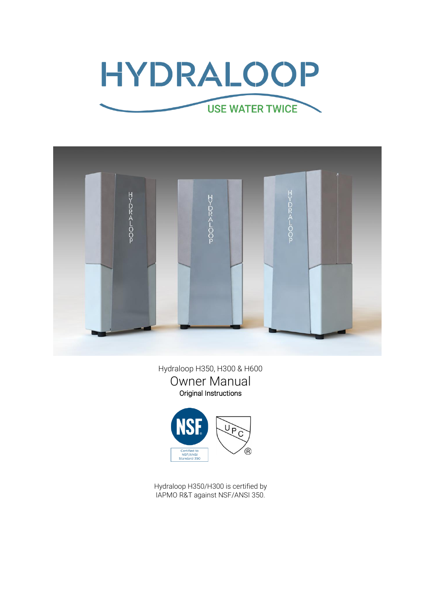



Hydraloop H350, H300 & H600 Owner Manual Original Instructions



Hydraloop H350/H300 is certified by IAPMO R&T against NSF/ANSI 350.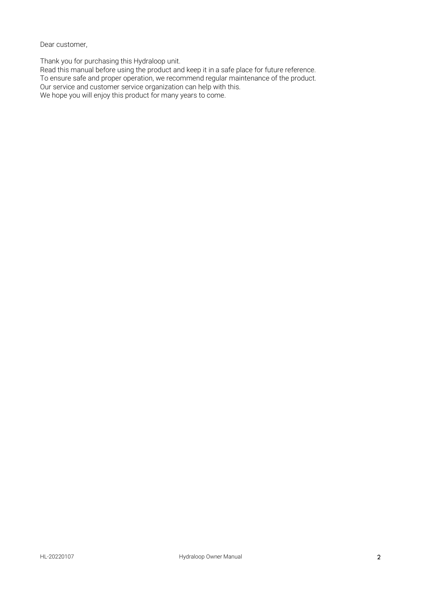Dear customer,

Thank you for purchasing this Hydraloop unit.

Read this manual before using the product and keep it in a safe place for future reference. To ensure safe and proper operation, we recommend regular maintenance of the product. Our service and customer service organization can help with this. We hope you will enjoy this product for many years to come.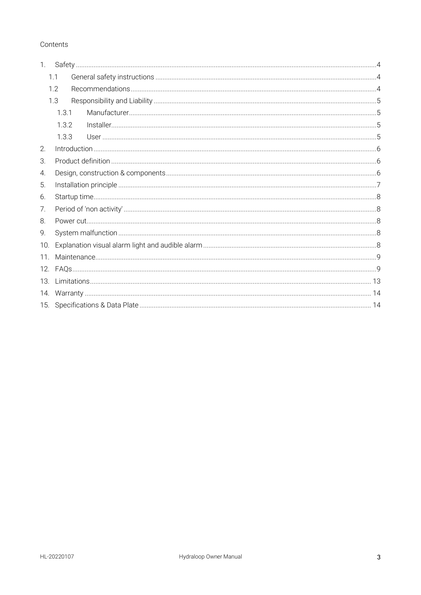## Contents

| 1 <sup>1</sup> |     |       |  |
|----------------|-----|-------|--|
|                | 1.1 |       |  |
|                | 1.2 |       |  |
|                | 1.3 |       |  |
|                |     | 131   |  |
|                |     | 1.3.2 |  |
|                |     | 1.3.3 |  |
| 2.             |     |       |  |
| З.             |     |       |  |
| 4.             |     |       |  |
| 5.             |     |       |  |
| 6.             |     |       |  |
| 7.             |     |       |  |
| 8.             |     |       |  |
| 9.             |     |       |  |
| 10.            |     |       |  |
| 11.            |     |       |  |
|                |     |       |  |
| 13.            |     |       |  |
|                |     |       |  |
|                |     |       |  |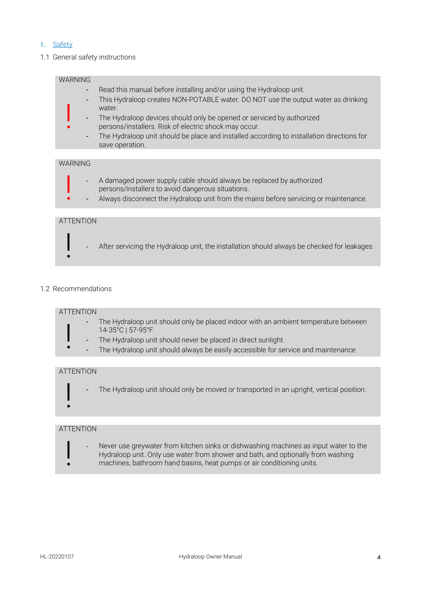## <span id="page-3-0"></span>1. Safety

#### <span id="page-3-1"></span>1.1 General safety instructions



#### <span id="page-3-2"></span>1.2 Recommendations

#### ATTENTION

!

|<br>|<br>|

|<br>|<br>|

- The Hydraloop unit should only be placed indoor with an ambient temperature between 14-35°C | 57-95°F.
- The Hydraloop unit should never be placed in direct sunlight.
- The Hydraloop unit should always be easily accessible for service and maintenance

#### ATTENTION

The Hydraloop unit should only be moved or transported in an upright, vertical position.

#### ATTENTION

Never use greywater from kitchen sinks or dishwashing machines as input water to the Hydraloop unit. Only use water from shower and bath, and optionally from washing machines, bathroom hand basins, heat pumps or air conditioning units.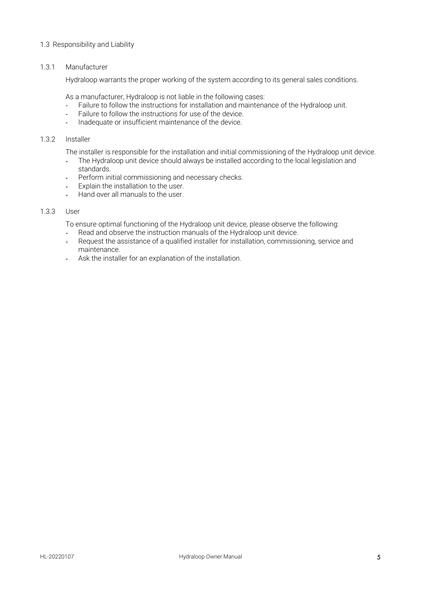#### <span id="page-4-0"></span>1.3 Responsibility and Liability

### <span id="page-4-1"></span>1.3.1 Manufacturer

Hydraloop warrants the proper working of the system according to its general sales conditions.

As a manufacturer, Hydraloop is not liable in the following cases:

- Failure to follow the instructions for installation and maintenance of the Hydraloop unit.
- Failure to follow the instructions for use of the device.
- Inadequate or insufficient maintenance of the device.

#### <span id="page-4-2"></span>1.3.2 Installer

The installer is responsible for the installation and initial commissioning of the Hydraloop unit device.

- The Hydraloop unit device should always be installed according to the local legislation and standards.
- Perform initial commissioning and necessary checks.
- Explain the installation to the user.
- Hand over all manuals to the user.

#### <span id="page-4-3"></span>1.3.3 User

To ensure optimal functioning of the Hydraloop unit device, please observe the following:

- Read and observe the instruction manuals of the Hydraloop unit device.
- Request the assistance of a qualified installer for installation, commissioning, service and maintenance.
- Ask the installer for an explanation of the installation.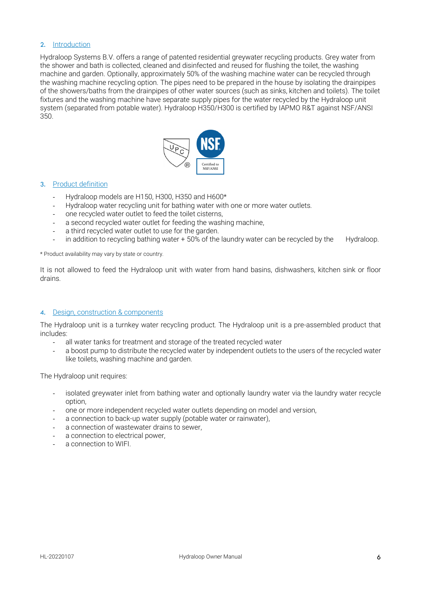#### <span id="page-5-0"></span>2. Introduction

Hydraloop Systems B.V. offers a range of patented residential greywater recycling products. Grey water from the shower and bath is collected, cleaned and disinfected and reused for flushing the toilet, the washing machine and garden. Optionally, approximately 50% of the washing machine water can be recycled through the washing machine recycling option. The pipes need to be prepared in the house by isolating the drainpipes of the showers/baths from the drainpipes of other water sources (such as sinks, kitchen and toilets). The toilet fixtures and the washing machine have separate supply pipes for the water recycled by the Hydraloop unit system (separated from potable water). Hydraloop H350/H300 is certified by IAPMO R&T against NSF/ANSI 350.



#### <span id="page-5-1"></span>3. Product definition

- Hydraloop models are H150, H300, H350 and H600\*
- Hydraloop water recycling unit for bathing water with one or more water outlets.
- one recycled water outlet to feed the toilet cisterns.
- a second recycled water outlet for feeding the washing machine,
- a third recycled water outlet to use for the garden.
- in addition to recycling bathing water + 50% of the laundry water can be recycled by the Hydraloop.

\* Product availability may vary by state or country.

It is not allowed to feed the Hydraloop unit with water from hand basins, dishwashers, kitchen sink or floor drains.

#### <span id="page-5-2"></span>4. Design, construction & components

The Hydraloop unit is a turnkey water recycling product. The Hydraloop unit is a pre-assembled product that includes:

- all water tanks for treatment and storage of the treated recycled water
- a boost pump to distribute the recycled water by independent outlets to the users of the recycled water like toilets, washing machine and garden.

The Hydraloop unit requires:

- isolated greywater inlet from bathing water and optionally laundry water via the laundry water recycle option,
- one or more independent recycled water outlets depending on model and version,
- a connection to back-up water supply (potable water or rainwater),
- a connection of wastewater drains to sewer,
- a connection to electrical power,
- a connection to WIFI.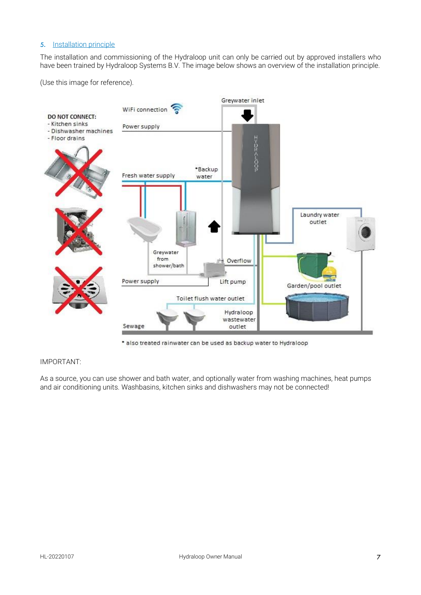### <span id="page-6-0"></span>5. Installation principle

The installation and commissioning of the Hydraloop unit can only be carried out by approved installers who have been trained by Hydraloop Systems B.V. The image below shows an overview of the installation principle.

(Use this image for reference).



\* also treated rainwater can be used as backup water to Hydraloop

### IMPORTANT:

As a source, you can use shower and bath water, and optionally water from washing machines, heat pumps and air conditioning units. Washbasins, kitchen sinks and dishwashers may not be connected!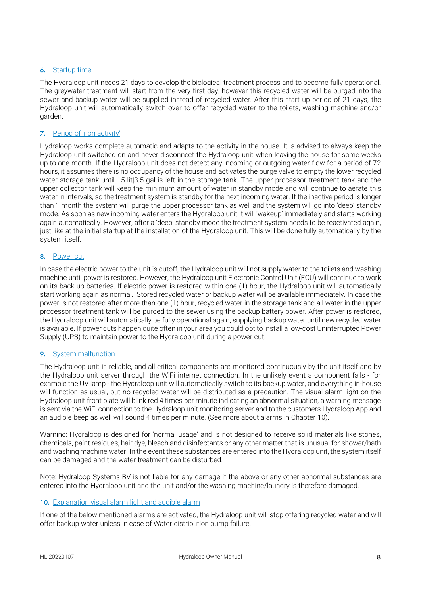#### <span id="page-7-0"></span>6. Startup time

The Hydraloop unit needs 21 days to develop the biological treatment process and to become fully operational. The greywater treatment will start from the very first day, however this recycled water will be purged into the sewer and backup water will be supplied instead of recycled water. After this start up period of 21 days, the Hydraloop unit will automatically switch over to offer recycled water to the toilets, washing machine and/or garden.

## <span id="page-7-1"></span>7. Period of 'non activity'

Hydraloop works complete automatic and adapts to the activity in the house. It is advised to always keep the Hydraloop unit switched on and never disconnect the Hydraloop unit when leaving the house for some weeks up to one month. If the Hydraloop unit does not detect any incoming or outgoing water flow for a period of 72 hours, it assumes there is no occupancy of the house and activates the purge valve to empty the lower recycled water storage tank until 15 lit|3.5 gal is left in the storage tank. The upper processor treatment tank and the upper collector tank will keep the minimum amount of water in standby mode and will continue to aerate this water in intervals, so the treatment system is standby for the next incoming water. If the inactive period is longer than 1 month the system will purge the upper processor tank as well and the system will go into 'deep' standby mode. As soon as new incoming water enters the Hydraloop unit it will 'wakeup' immediately and starts working again automatically. However, after a 'deep' standby mode the treatment system needs to be reactivated again, just like at the initial startup at the installation of the Hydraloop unit. This will be done fully automatically by the system itself.

#### <span id="page-7-2"></span>8. Power cut

In case the electric power to the unit is cutoff, the Hydraloop unit will not supply water to the toilets and washing machine until power is restored. However, the Hydraloop unit Electronic Control Unit (ECU) will continue to work on its back-up batteries. If electric power is restored within one (1) hour, the Hydraloop unit will automatically start working again as normal. Stored recycled water or backup water will be available immediately. In case the power is not restored after more than one (1) hour, recycled water in the storage tank and all water in the upper processor treatment tank will be purged to the sewer using the backup battery power. After power is restored, the Hydraloop unit will automatically be fully operational again, supplying backup water until new recycled water is available. If power cuts happen quite often in your area you could opt to install a low-cost Uninterrupted Power Supply (UPS) to maintain power to the Hydraloop unit during a power cut.

#### <span id="page-7-3"></span>9. System malfunction

The Hydraloop unit is reliable, and all critical components are monitored continuously by the unit itself and by the Hydraloop unit server through the WiFi internet connection. In the unlikely event a component fails - for example the UV lamp - the Hydraloop unit will automatically switch to its backup water, and everything in-house will function as usual, but no recycled water will be distributed as a precaution. The visual alarm light on the Hydraloop unit front plate will blink red 4 times per minute indicating an abnormal situation, a warning message is sent via the WiFi connection to the Hydraloop unit monitoring server and to the customers Hydraloop App and an audible beep as well will sound 4 times per minute. (See more about alarms in Chapter 10).

Warning: Hydraloop is designed for 'normal usage' and is not designed to receive solid materials like stones, chemicals, paint residues, hair dye, bleach and disinfectants or any other matter that is unusual for shower/bath and washing machine water. In the event these substances are entered into the Hydraloop unit, the system itself can be damaged and the water treatment can be disturbed.

Note: Hydraloop Systems BV is not liable for any damage if the above or any other abnormal substances are entered into the Hydraloop unit and the unit and/or the washing machine/laundry is therefore damaged.

## <span id="page-7-4"></span>10. Explanation visual alarm light and audible alarm

If one of the below mentioned alarms are activated, the Hydraloop unit will stop offering recycled water and will offer backup water unless in case of Water distribution pump failure.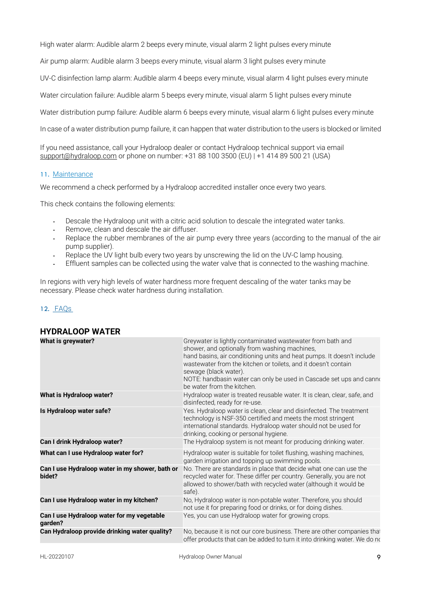High water alarm: Audible alarm 2 beeps every minute, visual alarm 2 light pulses every minute

Air pump alarm: Audible alarm 3 beeps every minute, visual alarm 3 light pulses every minute

UV-C disinfection lamp alarm: Audible alarm 4 beeps every minute, visual alarm 4 light pulses every minute

Water circulation failure: Audible alarm 5 beeps every minute, visual alarm 5 light pulses every minute

Water distribution pump failure: Audible alarm 6 beeps every minute, visual alarm 6 light pulses every minute

In case of a waterdistribution pump failure, it can happen that water distribution to the users is blocked or limited

If you need assistance, call your Hydraloop dealer or contact Hydraloop technical support via email [support@hydraloop.com](mailto:support@hydraloop.com) or phone on number: +31 88 100 3500 (EU) | +1 414 89 500 21 (USA)

#### <span id="page-8-0"></span>11. Maintenance

We recommend a check performed by a Hydraloop accredited installer once every two years.

This check contains the following elements:

- Descale the Hydraloop unit with a citric acid solution to descale the integrated water tanks.
- Remove, clean and descale the air diffuser.
- Replace the rubber membranes of the air pump every three years (according to the manual of the air pump supplier).
- Replace the UV light bulb every two years by unscrewing the lid on the UV-C lamp housing.
- Effluent samples can be collected using the water valve that is connected to the washing machine.

In regions with very high levels of water hardness more frequent descaling of the water tanks may be necessary. Please check water hardness during installation.

## <span id="page-8-1"></span>12. FAQs

| pivalvvi <i>w</i> a lin                                   |                                                                                                                                                                                                                                                                                                                                                                                       |
|-----------------------------------------------------------|---------------------------------------------------------------------------------------------------------------------------------------------------------------------------------------------------------------------------------------------------------------------------------------------------------------------------------------------------------------------------------------|
| What is greywater?                                        | Greywater is lightly contaminated wastewater from bath and<br>shower, and optionally from washing machines,<br>hand basins, air conditioning units and heat pumps. It doesn't include<br>wastewater from the kitchen or toilets, and it doesn't contain<br>sewage (black water).<br>NOTE: handbasin water can only be used in Cascade set ups and canno<br>be water from the kitchen. |
| What is Hydraloop water?                                  | Hydraloop water is treated reusable water. It is clean, clear, safe, and<br>disinfected, ready for re-use.                                                                                                                                                                                                                                                                            |
| Is Hydraloop water safe?                                  | Yes. Hydraloop water is clean, clear and disinfected. The treatment<br>technology is NSF-350 certified and meets the most stringent<br>international standards. Hydraloop water should not be used for<br>drinking, cooking or personal hygiene.                                                                                                                                      |
| Can I drink Hydraloop water?                              | The Hydraloop system is not meant for producing drinking water.                                                                                                                                                                                                                                                                                                                       |
| What can I use Hydraloop water for?                       | Hydraloop water is suitable for toilet flushing, washing machines,<br>garden irrigation and topping up swimming pools.                                                                                                                                                                                                                                                                |
| Can I use Hydraloop water in my shower, bath or<br>bidet? | No. There are standards in place that decide what one can use the<br>recycled water for. These differ per country. Generally, you are not<br>allowed to shower/bath with recycled water (although it would be<br>safe).                                                                                                                                                               |
| Can I use Hydraloop water in my kitchen?                  | No, Hydraloop water is non-potable water. Therefore, you should<br>not use it for preparing food or drinks, or for doing dishes.                                                                                                                                                                                                                                                      |
| Can I use Hydraloop water for my vegetable<br>garden?     | Yes, you can use Hydraloop water for growing crops.                                                                                                                                                                                                                                                                                                                                   |
| Can Hydraloop provide drinking water quality?             | No, because it is not our core business. There are other companies that<br>offer products that can be added to turn it into drinking water. We do no                                                                                                                                                                                                                                  |

## **HYDRALOOP WATER**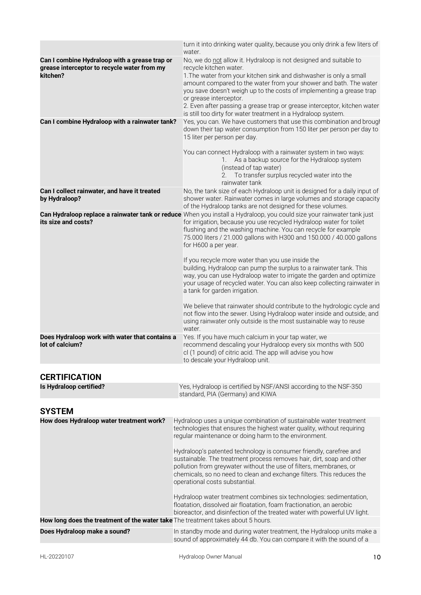|                                                                                                          | turn it into drinking water quality, because you only drink a few liters of<br>water.                                                                                                                                                                                                                                                                                                                                                                                                 |
|----------------------------------------------------------------------------------------------------------|---------------------------------------------------------------------------------------------------------------------------------------------------------------------------------------------------------------------------------------------------------------------------------------------------------------------------------------------------------------------------------------------------------------------------------------------------------------------------------------|
| Can I combine Hydraloop with a grease trap or<br>grease interceptor to recycle water from my<br>kitchen? | No, we do not allow it. Hydraloop is not designed and suitable to<br>recycle kitchen water.<br>1. The water from your kitchen sink and dishwasher is only a small<br>amount compared to the water from your shower and bath. The water<br>you save doesn't weigh up to the costs of implementing a grease trap<br>or grease interceptor.<br>2. Even after passing a grease trap or grease interceptor, kitchen water<br>is still too dirty for water treatment in a Hydraloop system. |
| Can I combine Hydraloop with a rainwater tank?                                                           | Yes, you can. We have customers that use this combination and brough<br>down their tap water consumption from 150 liter per person per day to<br>15 liter per person per day.<br>You can connect Hydraloop with a rainwater system in two ways:<br>As a backup source for the Hydraloop system<br>1.                                                                                                                                                                                  |
|                                                                                                          | (instead of tap water)<br>2. To transfer surplus recycled water into the<br>rainwater tank                                                                                                                                                                                                                                                                                                                                                                                            |
| Can I collect rainwater, and have it treated<br>by Hydraloop?                                            | No, the tank size of each Hydraloop unit is designed for a daily input of<br>shower water. Rainwater comes in large volumes and storage capacity<br>of the Hydraloop tanks are not designed for these volumes.                                                                                                                                                                                                                                                                        |
| its size and costs?                                                                                      | Can Hydraloop replace a rainwater tank or reduce When you install a Hydraloop, you could size your rainwater tank just<br>for irrigation, because you use recycled Hydraloop water for toilet<br>flushing and the washing machine. You can recycle for example<br>75.000 liters / 21.000 gallons with H300 and 150.000 / 40.000 gallons<br>for H600 a per year.                                                                                                                       |
|                                                                                                          | If you recycle more water than you use inside the<br>building, Hydraloop can pump the surplus to a rainwater tank. This<br>way, you can use Hydraloop water to irrigate the garden and optimize<br>your usage of recycled water. You can also keep collecting rainwater in<br>a tank for garden irrigation.                                                                                                                                                                           |
|                                                                                                          | We believe that rainwater should contribute to the hydrologic cycle and<br>not flow into the sewer. Using Hydraloop water inside and outside, and<br>using rainwater only outside is the most sustainable way to reuse<br>water.                                                                                                                                                                                                                                                      |
| Does Hydraloop work with water that contains a<br>lot of calcium?                                        | Yes. If you have much calcium in your tap water, we<br>recommend descaling your Hydraloop every six months with 500<br>cl (1 pound) of citric acid. The app will advise you how<br>to descale your Hydraloop unit.                                                                                                                                                                                                                                                                    |
| <b>CERTIFICATION</b>                                                                                     |                                                                                                                                                                                                                                                                                                                                                                                                                                                                                       |
| Is Hydraloop certified?                                                                                  | Yes, Hydraloop is certified by NSF/ANSI according to the NSF-350<br>standard, PIA (Germany) and KIWA                                                                                                                                                                                                                                                                                                                                                                                  |
| <b>SYSTEM</b>                                                                                            |                                                                                                                                                                                                                                                                                                                                                                                                                                                                                       |
| How does Hydraloop water treatment work?                                                                 | Hydraloop uses a unique combination of sustainable water treatment<br>technologies that ensures the highest water quality, without requiring<br>regular maintenance or doing harm to the environment.                                                                                                                                                                                                                                                                                 |
|                                                                                                          | Hydraloop's patented technology is consumer friendly, carefree and<br>sustainable. The treatment process removes hair, dirt, soap and other<br>pollution from greywater without the use of filters, membranes, or<br>chemicals, so no need to clean and exchange filters. This reduces the<br>operational costs substantial.                                                                                                                                                          |

sound of approximately 44 db. You can compare it with the sound of a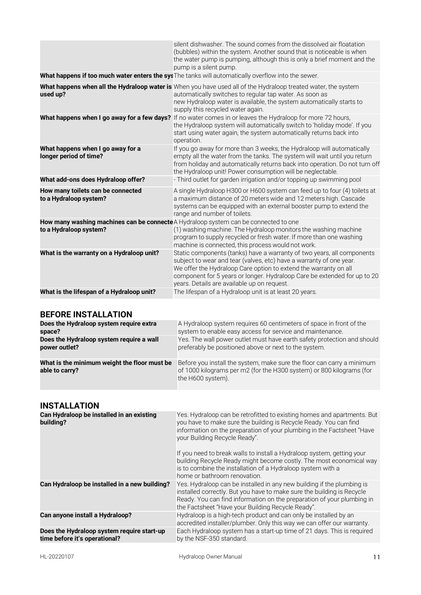|                                                                                                                | silent dishwasher. The sound comes from the dissolved air floatation<br>(bubbles) within the system. Another sound that is noticeable is when<br>the water pump is pumping, although this is only a brief moment and the<br>pump is a silent pump.                                                                                           |
|----------------------------------------------------------------------------------------------------------------|----------------------------------------------------------------------------------------------------------------------------------------------------------------------------------------------------------------------------------------------------------------------------------------------------------------------------------------------|
|                                                                                                                | What happens if too much water enters the sys <sup>The tanks will automatically overflow into the sewer.</sup>                                                                                                                                                                                                                               |
| used up?                                                                                                       | What happens when all the Hydraloop water is When you have used all of the Hydraloop treated water, the system<br>automatically switches to regular tap water. As soon as<br>new Hydraloop water is available, the system automatically starts to<br>supply this recycled water again.                                                       |
|                                                                                                                | What happens when I go away for a few days? If no water comes in or leaves the Hydraloop for more 72 hours,<br>the Hydraloop system will automatically switch to 'holiday mode'. If you<br>start using water again, the system automatically returns back into<br>operation.                                                                 |
| What happens when I go away for a<br>longer period of time?                                                    | If you go away for more than 3 weeks, the Hydraloop will automatically<br>empty all the water from the tanks. The system will wait until you return<br>from holiday and automatically returns back into operation. Do not turn off<br>the Hydraloop unit! Power consumption will be neglectable.                                             |
| What add-ons does Hydraloop offer?                                                                             | - Third outlet for garden irrigation and/or topping up swimming pool                                                                                                                                                                                                                                                                         |
| How many toilets can be connected<br>to a Hydraloop system?                                                    | A single Hydraloop H300 or H600 system can feed up to four (4) toilets at<br>a maximum distance of 20 meters wide and 12 meters high. Cascade<br>systems can be equipped with an external booster pump to extend the<br>range and number of toilets.                                                                                         |
| How many washing machines can be connecte A Hydraloop system can be connected to one<br>to a Hydraloop system? | (1) washing machine. The Hydraloop monitors the washing machine<br>program to supply recycled or fresh water. If more than one washing<br>machine is connected, this process would not work.                                                                                                                                                 |
| What is the warranty on a Hydraloop unit?                                                                      | Static components (tanks) have a warranty of two years, all components<br>subject to wear and tear (valves, etc) have a warranty of one year.<br>We offer the Hydraloop Care option to extend the warranty on all<br>component for 5 years or longer. Hydraloop Care be extended for up to 20<br>years. Details are available up on request. |
| What is the lifespan of a Hydraloop unit?                                                                      | The lifespan of a Hydraloop unit is at least 20 years.                                                                                                                                                                                                                                                                                       |

# **BEFORE INSTALLATION**

| Does the Hydraloop system require extra                        | A Hydraloop system requires 60 centimeters of space in front of the                                                                                                 |
|----------------------------------------------------------------|---------------------------------------------------------------------------------------------------------------------------------------------------------------------|
| space?                                                         | system to enable easy access for service and maintenance.                                                                                                           |
| Does the Hydraloop system require a wall                       | Yes. The wall power outlet must have earth safety protection and should                                                                                             |
| power outlet?                                                  | preferably be positioned above or next to the system.                                                                                                               |
| What is the minimum weight the floor must be<br>able to carry? | Before you install the system, make sure the floor can carry a minimum<br>of 1000 kilograms per m2 (for the H300 system) or 800 kilograms (for<br>the H600 system). |

# **INSTALLATION**

| Can Hydraloop be installed in an existing<br>building?                      | Yes. Hydraloop can be retrofitted to existing homes and apartments. But<br>you have to make sure the building is Recycle Ready. You can find<br>information on the preparation of your plumbing in the Factsheet "Have<br>your Building Recycle Ready".<br>If you need to break walls to install a Hydraloop system, getting your<br>building Recycle Ready might become costly. The most economical way<br>is to combine the installation of a Hydraloop system with a |
|-----------------------------------------------------------------------------|-------------------------------------------------------------------------------------------------------------------------------------------------------------------------------------------------------------------------------------------------------------------------------------------------------------------------------------------------------------------------------------------------------------------------------------------------------------------------|
| Can Hydraloop be installed in a new building?                               | home or bathroom renovation.<br>Yes. Hydraloop can be installed in any new building if the plumbing is<br>installed correctly. But you have to make sure the building is Recycle<br>Ready. You can find information on the preparation of your plumbing in<br>the Factsheet "Have your Building Recycle Ready".                                                                                                                                                         |
| Can anyone install a Hydraloop?                                             | Hydraloop is a high-tech product and can only be installed by an<br>accredited installer/plumber. Only this way we can offer our warranty.                                                                                                                                                                                                                                                                                                                              |
| Does the Hydraloop system require start-up<br>time before it's operational? | Each Hydraloop system has a start-up time of 21 days. This is required<br>by the NSF-350 standard.                                                                                                                                                                                                                                                                                                                                                                      |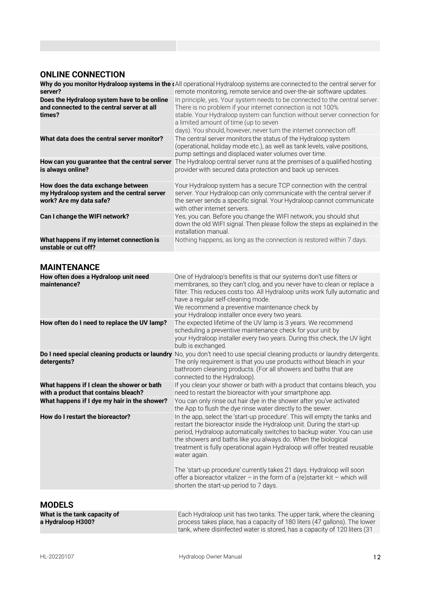# **ONLINE CONNECTION**

| server?                                                                                                     | Why do you monitor Hydraloop systems in the (All operational Hydraloop systems are connected to the central server for<br>remote monitoring, remote service and over-the-air software updates.                                                                                                                                         |
|-------------------------------------------------------------------------------------------------------------|----------------------------------------------------------------------------------------------------------------------------------------------------------------------------------------------------------------------------------------------------------------------------------------------------------------------------------------|
| Does the Hydraloop system have to be online<br>and connected to the central server at all<br>times?         | In principle, yes. Your system needs to be connected to the central server.<br>There is no problem if your internet connection is not 100%<br>stable. Your Hydraloop system can function without server connection for<br>a limited amount of time (up to seven<br>days). You should, however, never turn the internet connection off. |
| What data does the central server monitor?                                                                  | The central server monitors the status of the Hydraloop system<br>(operational, holiday mode etc.), as well as tank levels, valve positions,<br>pump settings and displaced water volumes over time.                                                                                                                                   |
| How can you guarantee that the central server<br>is always online?                                          | The Hydraloop central server runs at the premises of a qualified hosting<br>provider with secured data protection and back up services.                                                                                                                                                                                                |
| How does the data exchange between<br>my Hydraloop system and the central server<br>work? Are my data safe? | Your Hydraloop system has a secure TCP connection with the central<br>server. Your Hydraloop can only communicate with the central server if<br>the server sends a specific signal. Your Hydraloop cannot communicate<br>with other internet servers.                                                                                  |
| Can I change the WIFI network?                                                                              | Yes, you can. Before you change the WIFI network, you should shut<br>down the old WIFI signal. Then please follow the steps as explained in the<br>installation manual.                                                                                                                                                                |
| What happens if my internet connection is<br>unstable or cut off?                                           | Nothing happens, as long as the connection is restored within 7 days.                                                                                                                                                                                                                                                                  |

## **MAINTENANCE**

| How often does a Hydraloop unit need<br>maintenance?                               | One of Hydraloop's benefits is that our systems don't use filters or<br>membranes, so they can't clog, and you never have to clean or replace a<br>filter. This reduces costs too. All Hydraloop units work fully automatic and<br>have a regular self-cleaning mode.<br>We recommend a preventive maintenance check by<br>your Hydraloop installer once every two years.                                                                                                                                                                                                                      |
|------------------------------------------------------------------------------------|------------------------------------------------------------------------------------------------------------------------------------------------------------------------------------------------------------------------------------------------------------------------------------------------------------------------------------------------------------------------------------------------------------------------------------------------------------------------------------------------------------------------------------------------------------------------------------------------|
| How often do I need to replace the UV lamp?                                        | The expected lifetime of the UV lamp is 3 years. We recommend<br>scheduling a preventive maintenance check for your unit by<br>your Hydraloop installer every two years. During this check, the UV light<br>bulb is exchanged.                                                                                                                                                                                                                                                                                                                                                                 |
| detergents?                                                                        | Do I need special cleaning products or laundry No, you don't need to use special cleaning products or laundry detergents.<br>The only requirement is that you use products without bleach in your<br>bathroom cleaning products. (For all showers and baths that are<br>connected to the Hydraloop).                                                                                                                                                                                                                                                                                           |
| What happens if I clean the shower or bath<br>with a product that contains bleach? | If you clean your shower or bath with a product that contains bleach, you<br>need to restart the bioreactor with your smartphone app.                                                                                                                                                                                                                                                                                                                                                                                                                                                          |
| What happens if I dye my hair in the shower?                                       | You can only rinse out hair dye in the shower after you've activated<br>the App to flush the dye rinse water directly to the sewer.                                                                                                                                                                                                                                                                                                                                                                                                                                                            |
| How do I restart the bioreactor?                                                   | In the app, select the 'start-up procedure'. This will empty the tanks and<br>restart the bioreactor inside the Hydraloop unit. During the start-up<br>period, Hydraloop automatically switches to backup water. You can use<br>the showers and baths like you always do. When the biological<br>treatment is fully operational again Hydraloop will offer treated reusable<br>water again.<br>The 'start-up procedure' currently takes 21 days. Hydraloop will soon<br>offer a bioreactor vitalizer - in the form of a (re)starter kit - which will<br>shorten the start-up period to 7 days. |
|                                                                                    |                                                                                                                                                                                                                                                                                                                                                                                                                                                                                                                                                                                                |

# **MODELS**

| What is the tank capacity of | Each Hydraloop unit has two tanks. The upper tank, where the cleaning      |
|------------------------------|----------------------------------------------------------------------------|
| a Hydraloop H300?            | process takes place, has a capacity of 180 liters (47 gallons). The lower  |
|                              | tank, where disinfected water is stored, has a capacity of 120 liters (31) |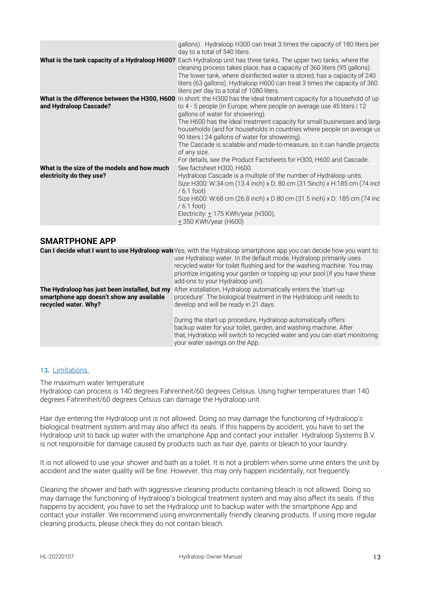|                                                                         | gallons). Hydraloop H300 can treat 3 times the capacity of 180 liters per<br>day to a total of 540 liters.                                                                                                                                                                                                                                                                                                                                                                                                                                                                                                             |
|-------------------------------------------------------------------------|------------------------------------------------------------------------------------------------------------------------------------------------------------------------------------------------------------------------------------------------------------------------------------------------------------------------------------------------------------------------------------------------------------------------------------------------------------------------------------------------------------------------------------------------------------------------------------------------------------------------|
|                                                                         | <b>What is the tank capacity of a Hydraloop H600?</b> Each Hydraloop unit has three tanks. The upper two tanks, where the<br>cleaning process takes place, has a capacity of 360 liters (95 gallons).<br>The lower tank, where disinfected water is stored, has a capacity of 240<br>liters (63 gallons). Hydraloop H600 can treat 3 times the capacity of 360<br>liters per day to a total of 1080 liters.                                                                                                                                                                                                            |
| and Hydraloop Cascade?                                                  | <b>What is the difference between the H300, H600</b> In short: the H300 has the ideal treatment capacity for a household of up<br>to 4 - 5 people (in Europe, where people on average use 45 liters   12<br>gallons of water for showering).<br>The H600 has the ideal treatment capacity for small businesses and large<br>households (and for households in countries where people on average us<br>90 liters   24 gallons of water for showering).<br>The Cascade is scalable and made-to-measure, so it can handle projects<br>of any size.<br>For details, see the Product Factsheets for H300, H600 and Cascade. |
| What is the size of the models and how much<br>electricity do they use? | See factsheet H300, H600.<br>Hydraloop Cascade is a multiple of the number of Hydraloop units.<br>Size H300: W:34 cm (13.4 inch) x D: 80 cm (31.5inch) x H:185 cm (74 inch<br>$/6.1$ foot)<br>Size H600: W:68 cm (26.8 inch) x D 80 cm (31.5 inch) x D: 185 cm (74 inc<br>$/6.1$ foot)<br>Electricity: $\pm$ 175 KWh/year (H300),<br>+350 KWh/year (H600)                                                                                                                                                                                                                                                              |

## **SMARTPHONE APP**

|                                                                                                                    | Can I decide what I want to use Hydraloop wate Yes, with the Hydraloop smartphone app you can decide how you want to<br>use Hydraloop water. In the default mode, Hydraloop primarily uses<br>recycled water for toilet flushing and for the washing machine. You may<br>prioritize irrigating your garden or topping up your pool (if you have these<br>add-ons to your Hydraloop unit). |
|--------------------------------------------------------------------------------------------------------------------|-------------------------------------------------------------------------------------------------------------------------------------------------------------------------------------------------------------------------------------------------------------------------------------------------------------------------------------------------------------------------------------------|
| The Hydraloop has just been installed, but my<br>smartphone app doesn't show any available<br>recycled water. Why? | After installation, Hydraloop automatically enters the 'start-up<br>procedure'. The biological treatment in the Hydraloop unit needs to<br>develop and will be ready in 21 days.                                                                                                                                                                                                          |
|                                                                                                                    | During the start-up procedure, Hydraloop automatically offers<br>backup water for your toilet, garden, and washing machine. After<br>that, Hydraloop will switch to recycled water and you can start monitoring<br>your water savings on the App.                                                                                                                                         |

### <span id="page-12-0"></span>13. Limitations

The maximum water temperature

Hydraloop can process is 140 degrees Fahrenheit/60 degrees Celsius. Using higher temperatures than 140 degrees Fahrenheit/60 degrees Celsius can damage the Hydraloop unit.

Hair dye entering the Hydraloop unit is not allowed. Doing so may damage the functioning of Hydraloop's biological treatment system and may also affect its seals. If this happens by accident, you have to set the Hydraloop unit to back up water with the smartphone App and contact your installer. Hydraloop Systems B.V. is not responsible for damage caused by products such as hair dye, paints or bleach to your laundry.

It is not allowed to use your shower and bath as a toilet. It is not a problem when some urine enters the unit by accident and the water quality will be fine. However, this may only happen incidentally, not frequently.

Cleaning the shower and bath with aggressive cleaning products containing bleach is not allowed. Doing so may damage the functioning of Hydraloop's biological treatment system and may also affect its seals. If this happens by accident, you have to set the Hydraloop unit to backup water with the smartphone App and contact your installer. We recommend using environmentally friendly cleaning products. If using more regular cleaning products, please check they do not contain bleach.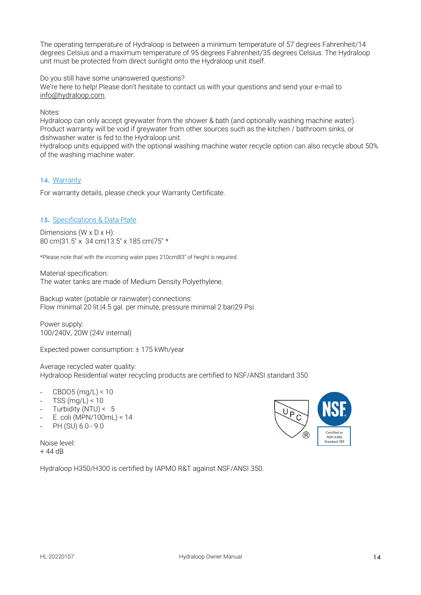The operating temperature of Hydraloop is between a minimum temperature of 57 degrees Fahrenheit/14 degrees Celsius and a maximum temperature of 95 degrees Fahrenheit/35 degrees Celsius. The Hydraloop unit must be protected from direct sunlight onto the Hydraloop unit itself.

Do you still have some unanswered questions?

We're here to help! Please don't hesitate to contact us with your questions and send your e-mail to [info@hydraloop.com.](mailto:info@hydraloop.com)

Notes:

Hydraloop can only accept greywater from the shower & bath (and optionally washing machine water). Product warranty will be void if greywater from other sources such as the kitchen / bathroom sinks, or dishwasher water is fed to the Hydraloop unit.

Hydraloop units equipped with the optional washing machine water recycle option can also recycle about 50% of the washing machine water.

## <span id="page-13-0"></span>14. Warranty

For warranty details, please check your Warranty Certificate.

#### <span id="page-13-1"></span>15. Specifications & Data Plate

Dimensions (W x D x H): 80 cm|31.5" x 34 cm|13.5" x 185 cm|75" \*

\*Please note that with the incoming water pipes 210cm|83" of height is required.

Material specification: The water tanks are made of Medium Density Polyethylene.

Backup water (potable or rainwater) connections: Flow minimal 20 lit.|4.5 gal. per minute, pressure minimal 2 bar|29 Psi.

Power supply: 100/240V, 20W (24V internal)

Expected power consumption: ± 175 kWh/year

Average recycled water quality: Hydraloop Residential water recycling products are certified to NSF/ANSI standard 350

- $CBDO5$  (mg/L) < 10
- $TSS$  (mg/L) < 10
- Turbidity (NTU) < 5
- E. coli (MPN/100mL) < 14
- PH (SU) 6.0 9.0

Noise level: + 44 dB

Hydraloop H350/H300 is certified by IAPMO R&T against NSF/ANSI 350.

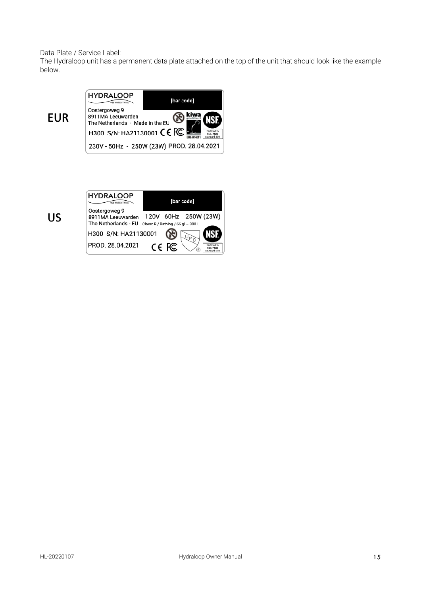Data Plate / Service Label:

The Hydraloop unit has a permanent data plate attached on the top of the unit that should look like the example below.